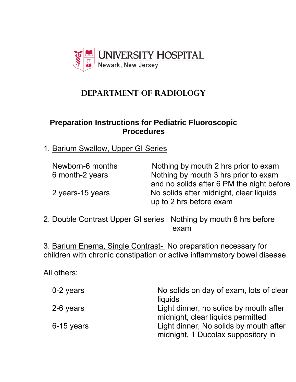

## **DEPARTMENT OF RADIOLOGY**

## **Preparation Instructions for Pediatric Fluoroscopic Procedures**

1. Barium Swallow, Upper GI Series

| Newborn-6 months | Nothing by mouth 2 hrs prior to exam      |
|------------------|-------------------------------------------|
| 6 month-2 years  | Nothing by mouth 3 hrs prior to exam      |
|                  | and no solids after 6 PM the night before |
| 2 years-15 years | No solids after midnight, clear liquids   |
|                  | up to 2 hrs before exam                   |

2. Double Contrast Upper GI series Nothing by mouth 8 hrs before exam

3. Barium Enema, Single Contrast- No preparation necessary for children with chronic constipation or active inflammatory bowel disease.

All others:

| 0-2 years  | No solids on day of exam, lots of clear<br>liquids                           |
|------------|------------------------------------------------------------------------------|
| 2-6 years  | Light dinner, no solids by mouth after<br>midnight, clear liquids permitted  |
| 6-15 years | Light dinner, No solids by mouth after<br>midnight, 1 Ducolax suppository in |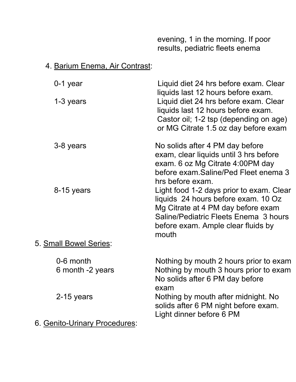evening, 1 in the morning. If poor results, pediatric fleets enema

## 4. Barium Enema, Air Contrast:

| 0-1 year                    | Liquid diet 24 hrs before exam. Clear<br>liquids last 12 hours before exam.                                                                                                                                   |
|-----------------------------|---------------------------------------------------------------------------------------------------------------------------------------------------------------------------------------------------------------|
| 1-3 years                   | Liquid diet 24 hrs before exam. Clear<br>liquids last 12 hours before exam.<br>Castor oil; 1-2 tsp (depending on age)<br>or MG Citrate 1.5 oz day before exam                                                 |
| 3-8 years                   | No solids after 4 PM day before<br>exam, clear liquids until 3 hrs before<br>exam. 6 oz Mg Citrate 4:00PM day<br>before exam. Saline/Ped Fleet enema 3<br>hrs before exam.                                    |
| 8-15 years                  | Light food 1-2 days prior to exam. Clear<br>liquids 24 hours before exam. 10 Oz<br>Mg Citrate at 4 PM day before exam<br>Saline/Pediatric Fleets Enema 3 hours<br>before exam. Ample clear fluids by<br>mouth |
| 5. Small Bowel Series:      |                                                                                                                                                                                                               |
| 0-6 month                   | Nothing by mouth 2 hours prior to exam                                                                                                                                                                        |
| 6 month -2 years            | Nothing by mouth 3 hours prior to exam<br>No solids after 6 PM day before<br>exam                                                                                                                             |
| 2-15 years                  | Nothing by mouth after midnight. No<br>solids after 6 PM night before exam.<br>Light dinner before 6 PM                                                                                                       |
| 6 Canito-Urinary Procedures |                                                                                                                                                                                                               |

6. Genito-Urinary Procedures: